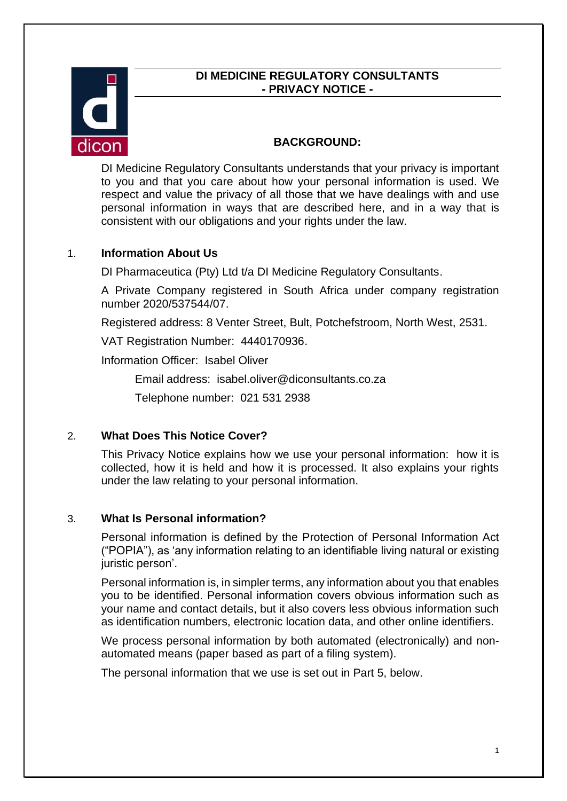### **DI MEDICINE REGULATORY CONSULTANTS - PRIVACY NOTICE -**



## **BACKGROUND:**

DI Medicine Regulatory Consultants understands that your privacy is important to you and that you care about how your personal information is used. We respect and value the privacy of all those that we have dealings with and use personal information in ways that are described here, and in a way that is consistent with our obligations and your rights under the law.

## 1. **Information About Us**

DI Pharmaceutica (Pty) Ltd t/a DI Medicine Regulatory Consultants.

A Private Company registered in South Africa under company registration number 2020/537544/07.

Registered address: 8 Venter Street, Bult, Potchefstroom, North West, 2531.

VAT Registration Number: 4440170936.

Information Officer: Isabel Oliver

Email address: isabel.oliver@diconsultants.co.za

Telephone number: 021 531 2938

#### 2. **What Does This Notice Cover?**

This Privacy Notice explains how we use your personal information: how it is collected, how it is held and how it is processed. It also explains your rights under the law relating to your personal information.

#### 3. **What Is Personal information?**

Personal information is defined by the Protection of Personal Information Act ("POPIA"), as 'any information relating to an identifiable living natural or existing juristic person'.

Personal information is, in simpler terms, any information about you that enables you to be identified. Personal information covers obvious information such as your name and contact details, but it also covers less obvious information such as identification numbers, electronic location data, and other online identifiers.

We process personal information by both automated (electronically) and nonautomated means (paper based as part of a filing system).

The personal information that we use is set out in Part 5, below.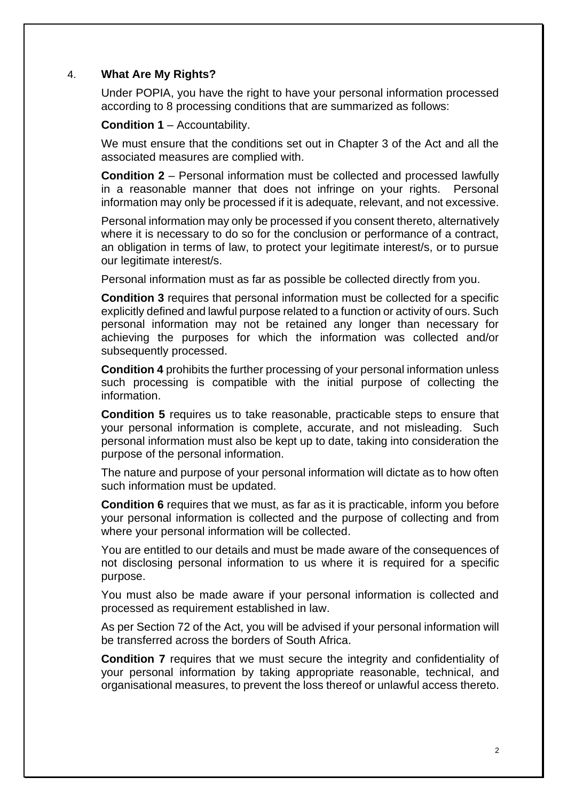### 4. **What Are My Rights?**

Under POPIA, you have the right to have your personal information processed according to 8 processing conditions that are summarized as follows:

**Condition 1** – Accountability.

We must ensure that the conditions set out in Chapter 3 of the Act and all the associated measures are complied with.

**Condition 2** – Personal information must be collected and processed lawfully in a reasonable manner that does not infringe on your rights. Personal information may only be processed if it is adequate, relevant, and not excessive.

Personal information may only be processed if you consent thereto, alternatively where it is necessary to do so for the conclusion or performance of a contract, an obligation in terms of law, to protect your legitimate interest/s, or to pursue our legitimate interest/s.

Personal information must as far as possible be collected directly from you.

**Condition 3** requires that personal information must be collected for a specific explicitly defined and lawful purpose related to a function or activity of ours. Such personal information may not be retained any longer than necessary for achieving the purposes for which the information was collected and/or subsequently processed.

**Condition 4** prohibits the further processing of your personal information unless such processing is compatible with the initial purpose of collecting the information.

**Condition 5** requires us to take reasonable, practicable steps to ensure that your personal information is complete, accurate, and not misleading. Such personal information must also be kept up to date, taking into consideration the purpose of the personal information.

The nature and purpose of your personal information will dictate as to how often such information must be updated.

**Condition 6** requires that we must, as far as it is practicable, inform you before your personal information is collected and the purpose of collecting and from where your personal information will be collected.

You are entitled to our details and must be made aware of the consequences of not disclosing personal information to us where it is required for a specific purpose.

You must also be made aware if your personal information is collected and processed as requirement established in law.

As per Section 72 of the Act, you will be advised if your personal information will be transferred across the borders of South Africa.

**Condition 7** requires that we must secure the integrity and confidentiality of your personal information by taking appropriate reasonable, technical, and organisational measures, to prevent the loss thereof or unlawful access thereto.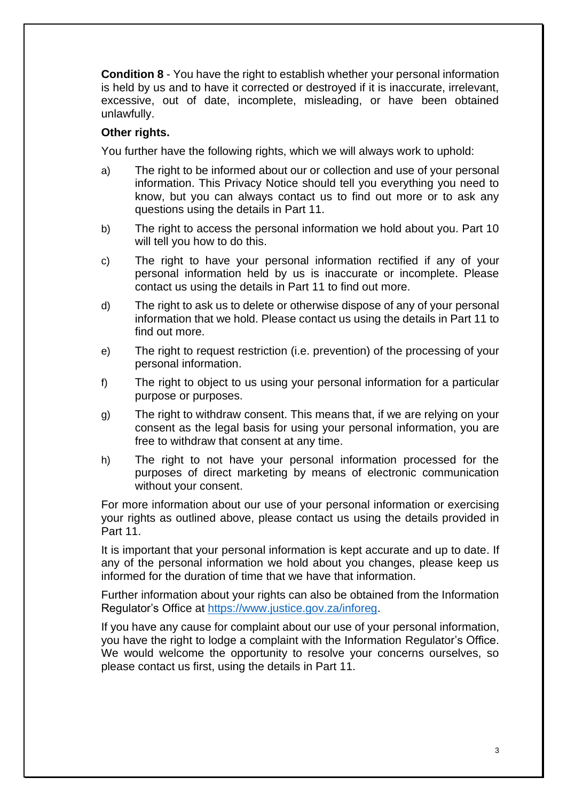**Condition 8** - You have the right to establish whether your personal information is held by us and to have it corrected or destroyed if it is inaccurate, irrelevant, excessive, out of date, incomplete, misleading, or have been obtained unlawfully.

## **Other rights.**

You further have the following rights, which we will always work to uphold:

- a) The right to be informed about our or collection and use of your personal information. This Privacy Notice should tell you everything you need to know, but you can always contact us to find out more or to ask any questions using the details in Part 11.
- b) The right to access the personal information we hold about you. Part 10 will tell you how to do this.
- c) The right to have your personal information rectified if any of your personal information held by us is inaccurate or incomplete. Please contact us using the details in Part 11 to find out more.
- d) The right to ask us to delete or otherwise dispose of any of your personal information that we hold. Please contact us using the details in Part 11 to find out more.
- e) The right to request restriction (i.e. prevention) of the processing of your personal information.
- f) The right to object to us using your personal information for a particular purpose or purposes.
- g) The right to withdraw consent. This means that, if we are relying on your consent as the legal basis for using your personal information, you are free to withdraw that consent at any time.
- h) The right to not have your personal information processed for the purposes of direct marketing by means of electronic communication without your consent.

For more information about our use of your personal information or exercising your rights as outlined above, please contact us using the details provided in Part 11.

It is important that your personal information is kept accurate and up to date. If any of the personal information we hold about you changes, please keep us informed for the duration of time that we have that information.

Further information about your rights can also be obtained from the Information Regulator's Office at [https://www.justice.gov.za/inforeg.](https://www.justice.gov.za/inforeg)

If you have any cause for complaint about our use of your personal information, you have the right to lodge a complaint with the Information Regulator's Office. We would welcome the opportunity to resolve your concerns ourselves, so please contact us first, using the details in Part 11.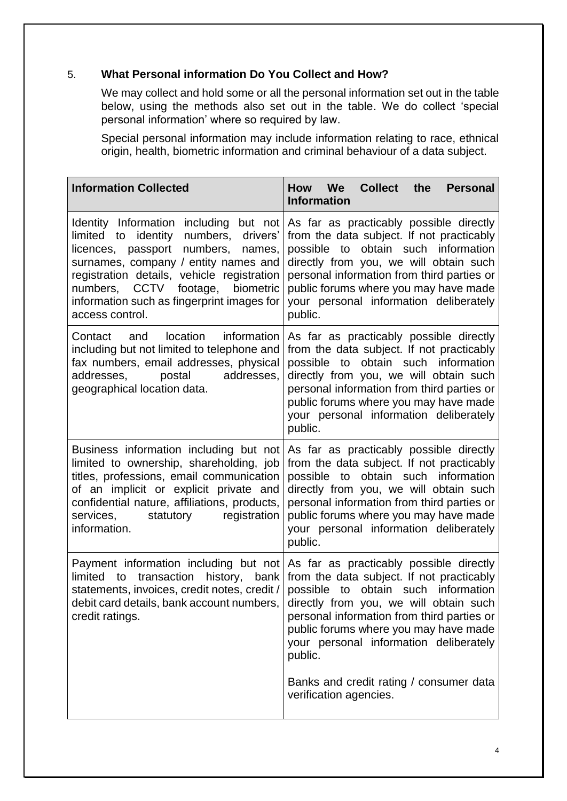# 5. **What Personal information Do You Collect and How?**

We may collect and hold some or all the personal information set out in the table below, using the methods also set out in the table. We do collect 'special personal information' where so required by law.

Special personal information may include information relating to race, ethnical origin, health, biometric information and criminal behaviour of a data subject.

| How We<br><b>Collect</b><br>the<br><b>Personal</b><br><b>Information</b>                                                                                                                                                                                                                                                                                                                                                        |
|---------------------------------------------------------------------------------------------------------------------------------------------------------------------------------------------------------------------------------------------------------------------------------------------------------------------------------------------------------------------------------------------------------------------------------|
| As far as practicably possible directly<br>from the data subject. If not practicably<br>possible to obtain such information<br>directly from you, we will obtain such<br>personal information from third parties or<br>public forums where you may have made<br>your personal information deliberately<br>public.                                                                                                               |
| As far as practicably possible directly<br>from the data subject. If not practicably<br>possible to obtain such information<br>directly from you, we will obtain such<br>personal information from third parties or<br>public forums where you may have made<br>your personal information deliberately<br>public.                                                                                                               |
| As far as practicably possible directly<br>from the data subject. If not practicably<br>possible to obtain such information<br>directly from you, we will obtain such<br>personal information from third parties or<br>public forums where you may have made<br>your personal information deliberately<br>public.                                                                                                               |
| Payment information including but not As far as practicably possible directly<br>from the data subject. If not practicably<br>obtain such information<br>possible to<br>directly from you, we will obtain such<br>personal information from third parties or<br>public forums where you may have made<br>your personal information deliberately<br>public.<br>Banks and credit rating / consumer data<br>verification agencies. |
|                                                                                                                                                                                                                                                                                                                                                                                                                                 |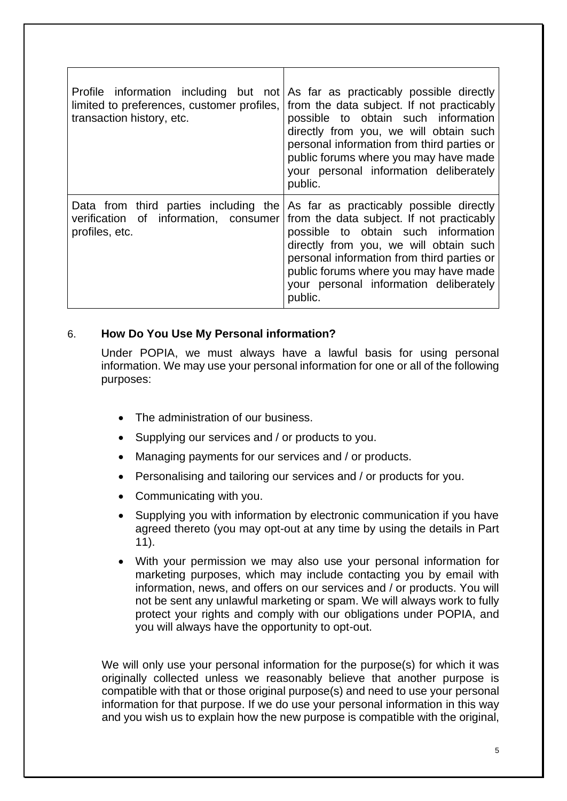| transaction history, etc.                               | Profile information including but not As far as practicably possible directly<br>limited to preferences, customer profiles, from the data subject. If not practicably<br>possible to obtain such information<br>directly from you, we will obtain such<br>personal information from third parties or<br>public forums where you may have made<br>your personal information deliberately<br>public. |
|---------------------------------------------------------|----------------------------------------------------------------------------------------------------------------------------------------------------------------------------------------------------------------------------------------------------------------------------------------------------------------------------------------------------------------------------------------------------|
| verification of information, consumer<br>profiles, etc. | Data from third parties including the As far as practicably possible directly<br>from the data subject. If not practicably<br>possible to obtain such information<br>directly from you, we will obtain such<br>personal information from third parties or<br>public forums where you may have made<br>your personal information deliberately<br>public.                                            |

#### 6. **How Do You Use My Personal information?**

Under POPIA, we must always have a lawful basis for using personal information. We may use your personal information for one or all of the following purposes:

- The administration of our business.
- Supplying our services and / or products to you.
- Managing payments for our services and / or products.
- Personalising and tailoring our services and / or products for you.
- Communicating with you.
- Supplying you with information by electronic communication if you have agreed thereto (you may opt-out at any time by using the details in Part 11).
- With your permission we may also use your personal information for marketing purposes, which may include contacting you by email with information, news, and offers on our services and / or products. You will not be sent any unlawful marketing or spam. We will always work to fully protect your rights and comply with our obligations under POPIA, and you will always have the opportunity to opt-out.

We will only use your personal information for the purpose(s) for which it was originally collected unless we reasonably believe that another purpose is compatible with that or those original purpose(s) and need to use your personal information for that purpose. If we do use your personal information in this way and you wish us to explain how the new purpose is compatible with the original,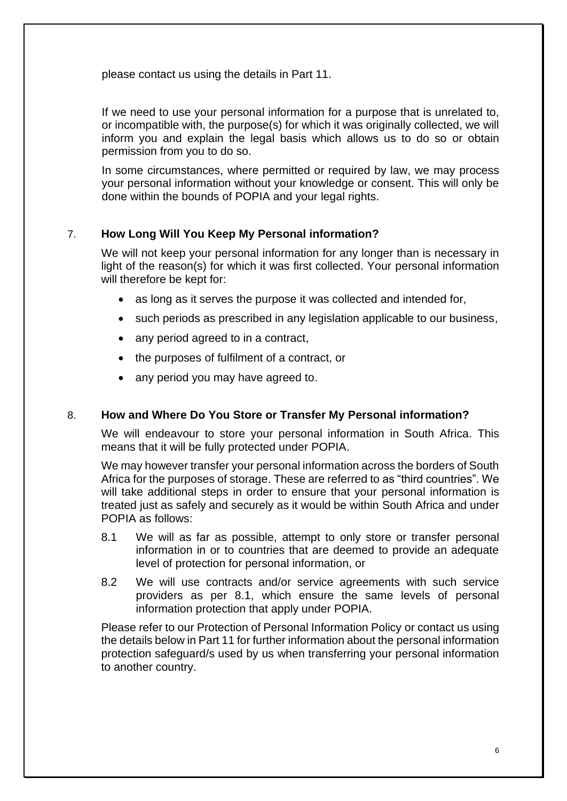please contact us using the details in Part 11.

If we need to use your personal information for a purpose that is unrelated to, or incompatible with, the purpose(s) for which it was originally collected, we will inform you and explain the legal basis which allows us to do so or obtain permission from you to do so.

In some circumstances, where permitted or required by law, we may process your personal information without your knowledge or consent. This will only be done within the bounds of POPIA and your legal rights.

# 7. **How Long Will You Keep My Personal information?**

We will not keep your personal information for any longer than is necessary in light of the reason(s) for which it was first collected. Your personal information will therefore be kept for:

- as long as it serves the purpose it was collected and intended for,
- such periods as prescribed in any legislation applicable to our business,
- any period agreed to in a contract,
- the purposes of fulfilment of a contract, or
- any period you may have agreed to.

#### 8. **How and Where Do You Store or Transfer My Personal information?**

We will endeavour to store your personal information in South Africa. This means that it will be fully protected under POPIA.

We may however transfer your personal information across the borders of South Africa for the purposes of storage. These are referred to as "third countries". We will take additional steps in order to ensure that your personal information is treated just as safely and securely as it would be within South Africa and under POPIA as follows:

- 8.1 We will as far as possible, attempt to only store or transfer personal information in or to countries that are deemed to provide an adequate level of protection for personal information, or
- 8.2 We will use contracts and/or service agreements with such service providers as per 8.1, which ensure the same levels of personal information protection that apply under POPIA.

Please refer to our Protection of Personal Information Policy or contact us using the details below in Part 11 for further information about the personal information protection safeguard/s used by us when transferring your personal information to another country.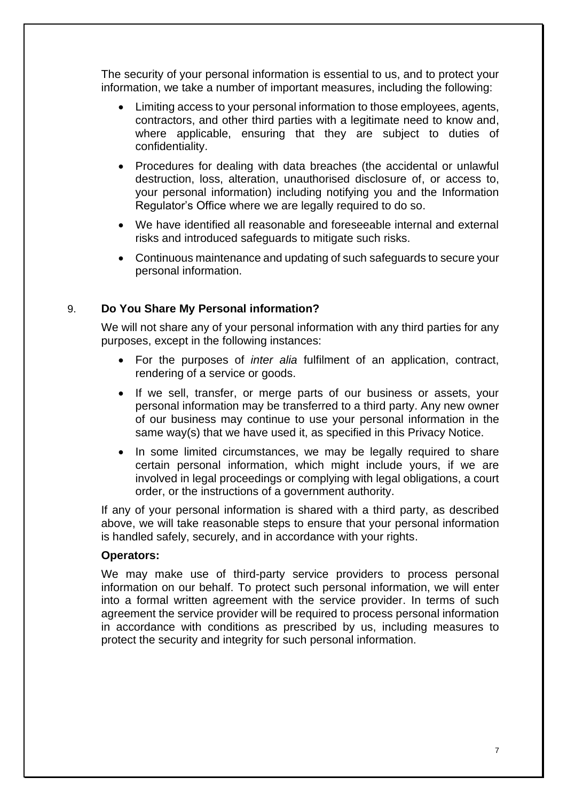The security of your personal information is essential to us, and to protect your information, we take a number of important measures, including the following:

- Limiting access to your personal information to those employees, agents, contractors, and other third parties with a legitimate need to know and, where applicable, ensuring that they are subject to duties of confidentiality.
- Procedures for dealing with data breaches (the accidental or unlawful destruction, loss, alteration, unauthorised disclosure of, or access to, your personal information) including notifying you and the Information Regulator's Office where we are legally required to do so.
- We have identified all reasonable and foreseeable internal and external risks and introduced safeguards to mitigate such risks.
- Continuous maintenance and updating of such safeguards to secure your personal information.

#### 9. **Do You Share My Personal information?**

We will not share any of your personal information with any third parties for any purposes, except in the following instances:

- For the purposes of *inter alia* fulfilment of an application, contract, rendering of a service or goods.
- If we sell, transfer, or merge parts of our business or assets, your personal information may be transferred to a third party. Any new owner of our business may continue to use your personal information in the same way(s) that we have used it, as specified in this Privacy Notice.
- In some limited circumstances, we may be legally required to share certain personal information, which might include yours, if we are involved in legal proceedings or complying with legal obligations, a court order, or the instructions of a government authority.

If any of your personal information is shared with a third party, as described above, we will take reasonable steps to ensure that your personal information is handled safely, securely, and in accordance with your rights.

#### **Operators:**

We may make use of third-party service providers to process personal information on our behalf. To protect such personal information, we will enter into a formal written agreement with the service provider. In terms of such agreement the service provider will be required to process personal information in accordance with conditions as prescribed by us, including measures to protect the security and integrity for such personal information.